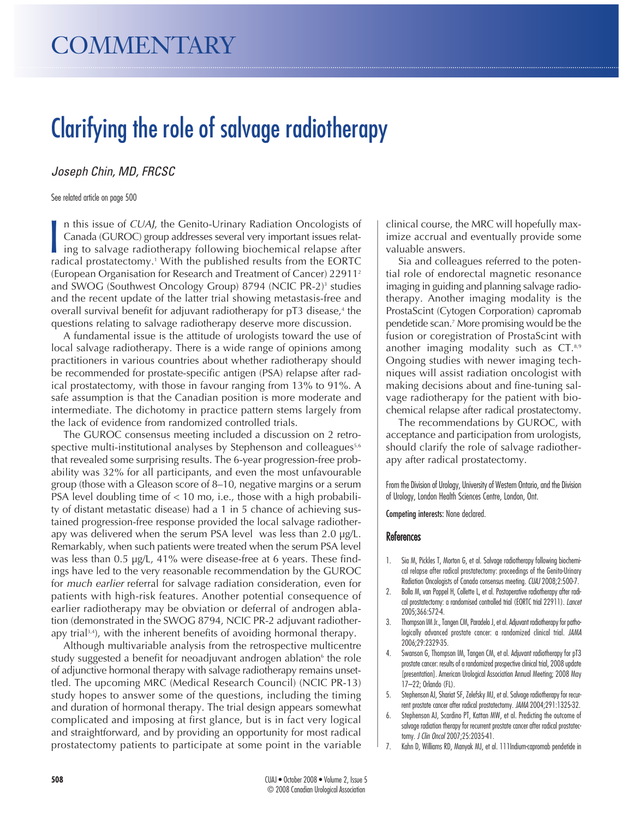## Clarifying the role of salvage radiotherapy

### Joseph Chin, MD, FRCSC

#### See related article on page 500

In this issue of *CUAJ*, the Genito-Urinary Radiation Oncologists of Canada (GUROC) group addresses several very important issues relating to salvage radiotherapy following biochemical relapse after radical prostatectomy.<sup></sup> n this issue of CUAJ, the Genito-Urinary Radiation Oncologists of Canada (GUROC) group addresses several very important issues relating to salvage radiotherapy following biochemical relapse after (European Organisation for Research and Treatment of Cancer) 229112 and SWOG (Southwest Oncology Group) 8794 (NCIC PR-2)<sup>3</sup> studies and the recent update of the latter trial showing metastasis-free and overall survival benefit for adjuvant radiotherapy for  $pT3$  disease,<sup>4</sup> the questions relating to salvage radiotherapy deserve more discussion.

A fundamental issue is the attitude of urologists toward the use of local salvage radiotherapy. There is a wide range of opinions among practitioners in various countries about whether radiotherapy should be recommended for prostate-specific antigen (PSA) relapse after radical prostatectomy, with those in favour ranging from 13% to 91%. A safe assumption is that the Canadian position is more moderate and intermediate. The dichotomy in practice pattern stems largely from the lack of evidence from randomized controlled trials.

The GUROC consensus meeting included a discussion on 2 retrospective multi-institutional analyses by Stephenson and colleagues<sup>5,6</sup> that revealed some surprising results. The 6-year progression-free probability was 32% for all participants, and even the most unfavourable group (those with a Gleason score of 8–10, negative margins or a serum PSA level doubling time of < 10 mo, i.e., those with a high probability of distant metastatic disease) had a 1 in 5 chance of achieving sustained progression-free response provided the local salvage radiotherapy was delivered when the serum PSA level was less than 2.0  $\mu$ g/L. Remarkably, when such patients were treated when the serum PSA level was less than 0.5 µg/L, 41% were disease-free at 6 years. These findings have led to the very reasonable recommendation by the GUROC for much earlier referral for salvage radiation consideration, even for patients with high-risk features. Another potential consequence of earlier radiotherapy may be obviation or deferral of androgen ablation (demonstrated in the SWOG 8794, NCIC PR-2 adjuvant radiotherapy trial<sup>3,4</sup>), with the inherent benefits of avoiding hormonal therapy.

Although multivariable analysis from the retrospective multicentre study suggested a benefit for neoadjuvant androgen ablation<sup>6</sup> the role of adjunctive hormonal therapy with salvage radiotherapy remains unsettled. The upcoming MRC (Medical Research Council) (NCIC PR-13) study hopes to answer some of the questions, including the timing and duration of hormonal therapy. The trial design appears somewhat complicated and imposing at first glance, but is in fact very logical and straightforward, and by providing an opportunity for most radical prostatectomy patients to participate at some point in the variable

clinical course, the MRC will hopefully maximize accrual and eventually provide some valuable answers.

Sia and colleagues referred to the potential role of endorectal magnetic resonance imaging in guiding and planning salvage radiotherapy. Another imaging modality is the ProstaScint (Cytogen Corporation) capromab pendetide scan.7 More promising would be the fusion or coregistration of ProstaScint with another imaging modality such as CT.8,9 Ongoing studies with newer imaging techniques will assist radiation oncologist with making decisions about and fine-tuning salvage radiotherapy for the patient with biochemical relapse after radical prostatectomy.

The recommendations by GUROC, with acceptance and participation from urologists, should clarify the role of salvage radiotherapy after radical prostatectomy.

From the Division of Urology, University of Western Ontario, and the Division of Urology, London Health Sciences Centre, London, Ont.

Competing interests: None declared.

### References

- 1. Sia M, Pickles T, Morton G, et al. Salvage radiotherapy following biochemical relapse after radical prostatectomy: proceedings of the Genito-Urinary Radiation Oncologists of Canada consensus meeting. CUAJ 2008;2:500-7.
- 2. Bolla M, van Poppel H, Collette L, et al. Postoperative radiotherapy after radical prostatectomy: a randomised controlled trial (EORTC trial 22911). Lancet 2005;366:572-4.
- 3. Thompson IM Jr., Tangen CM, Paradelo J, et al. Adjuvant radiotherapy for pathologically advanced prostate cancer: a randomized clinical trial. JAMA 2006;29:2329-35.
- 4. Swanson G, Thompson IM, Tangen CM, et al. Adjuvant radiotherapy for pT3 prostate cancer: results of a randomized prospective clinical trial, 2008 update [presentation]. American Urological Association Annual Meeting; 2008 May 17–22; Orlando (FL).
- 5. Stephenson AJ, Shariat SF, Zelefsky MJ, et al. Salvage radiotherapy for recurrent prostate cancer after radical prostatectomy. JAMA 2004;291:1325-32.
- 6. Stephenson AJ, Scardino PT, Kattan MW, et al. Predicting the outcome of salvage radiation therapy for recurrent prostate cancer after radical prostatectomy. J Clin Oncol 2007;25:2035-41.
- 7. Kahn D, Williams RD, Manyak MJ, et al. 111Indium-capromab pendetide in